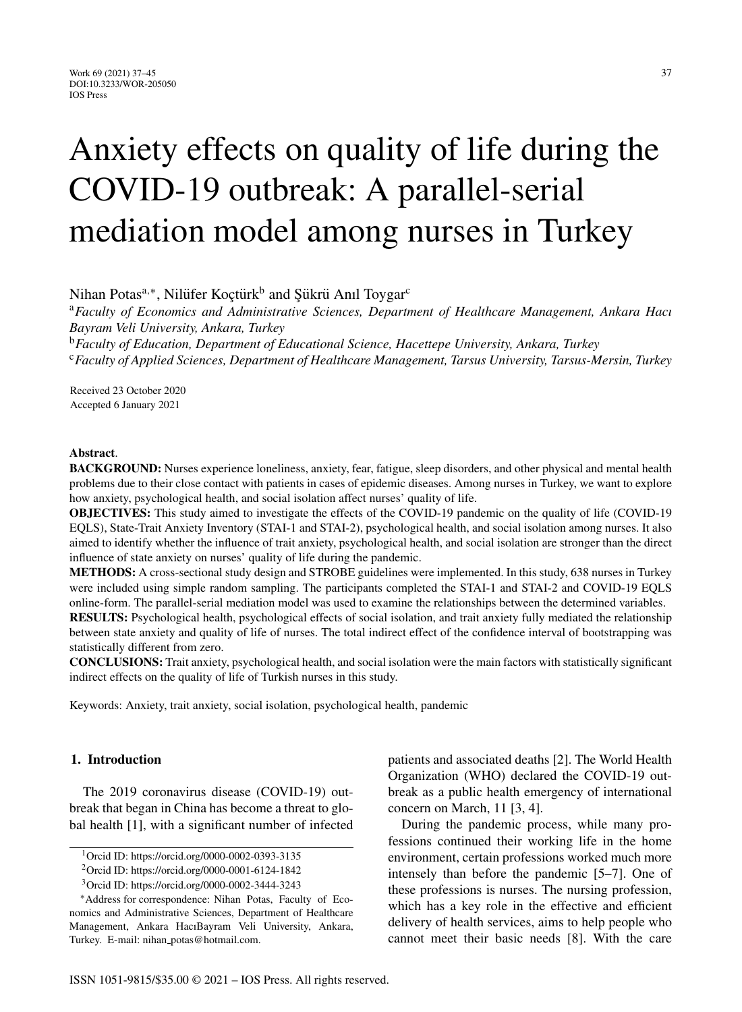# Anxiety effects on quality of life during the COVID-19 outbreak: A parallel-serial mediation model among nurses in Turkey

Nihan Potas<sup>a,∗</sup>, Nilüfer Koctürk<sup>b</sup> and Sükrü Anıl Toygar<sup>c</sup>

<sup>a</sup>*Faculty of Economics and Administrative Sciences, Department of Healthcare Management, Ankara Hacı Bayram Veli University, Ankara, Turkey*

<sup>b</sup>*Faculty of Education, Department of Educational Science, Hacettepe University, Ankara, Turkey* <sup>c</sup>*Faculty of Applied Sciences, Department of Healthcare Management, Tarsus University, Tarsus-Mersin, Turkey*

Received 23 October 2020 Accepted 6 January 2021

#### **Abstract**.

**BACKGROUND:** Nurses experience loneliness, anxiety, fear, fatigue, sleep disorders, and other physical and mental health problems due to their close contact with patients in cases of epidemic diseases. Among nurses in Turkey, we want to explore how anxiety, psychological health, and social isolation affect nurses' quality of life.

**OBJECTIVES:** This study aimed to investigate the effects of the COVID-19 pandemic on the quality of life (COVID-19 EQLS), State-Trait Anxiety Inventory (STAI-1 and STAI-2), psychological health, and social isolation among nurses. It also aimed to identify whether the influence of trait anxiety, psychological health, and social isolation are stronger than the direct influence of state anxiety on nurses' quality of life during the pandemic.

**METHODS:** A cross-sectional study design and STROBE guidelines were implemented. In this study, 638 nurses in Turkey were included using simple random sampling. The participants completed the STAI-1 and STAI-2 and COVID-19 EQLS online-form. The parallel-serial mediation model was used to examine the relationships between the determined variables.

**RESULTS:** Psychological health, psychological effects of social isolation, and trait anxiety fully mediated the relationship between state anxiety and quality of life of nurses. The total indirect effect of the confidence interval of bootstrapping was statistically different from zero.

**CONCLUSIONS:** Trait anxiety, psychological health, and social isolation were the main factors with statistically significant indirect effects on the quality of life of Turkish nurses in this study.

Keywords: Anxiety, trait anxiety, social isolation, psychological health, pandemic

# **1. Introduction**

The 2019 coronavirus disease (COVID-19) outbreak that began in China has become a threat to global health [1], with a significant number of infected patients and associated deaths [2]. The World Health Organization (WHO) declared the COVID-19 outbreak as a public health emergency of international concern on March, 11 [3, 4].

During the pandemic process, while many professions continued their working life in the home environment, certain professions worked much more intensely than before the pandemic [5–7]. One of these professions is nurses. The nursing profession, which has a key role in the effective and efficient delivery of health services, aims to help people who cannot meet their basic needs [8]. With the care

<sup>1</sup>Orcid ID:<https://orcid.org/0000-0002-0393-3135>

<sup>2</sup>Orcid ID:<https://orcid.org/0000-0001-6124-1842>

<sup>3</sup>Orcid ID:<https://orcid.org/0000-0002-3444-3243>

<sup>∗</sup>Address for correspondence: Nihan Potas, Faculty of Economics and Administrative Sciences, Department of Healthcare Management, Ankara HacıBayram Veli University, Ankara, Turkey. E-mail: nihan [potas@hotmail.com](mailto:nihan_potas@hotmail.com).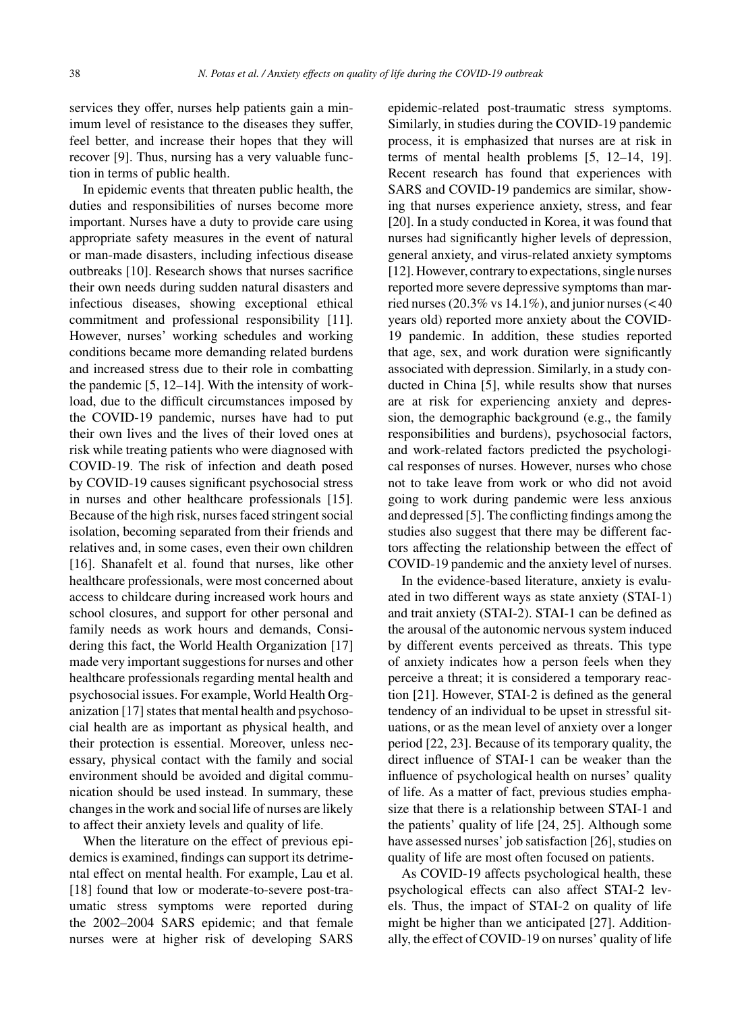services they offer, nurses help patients gain a minimum level of resistance to the diseases they suffer, feel better, and increase their hopes that they will recover [9]. Thus, nursing has a very valuable function in terms of public health.

In epidemic events that threaten public health, the duties and responsibilities of nurses become more important. Nurses have a duty to provide care using appropriate safety measures in the event of natural or man-made disasters, including infectious disease outbreaks [10]. Research shows that nurses sacrifice their own needs during sudden natural disasters and infectious diseases, showing exceptional ethical commitment and professional responsibility [11]. However, nurses' working schedules and working conditions became more demanding related burdens and increased stress due to their role in combatting the pandemic [5, 12–14]. With the intensity of workload, due to the difficult circumstances imposed by the COVID-19 pandemic, nurses have had to put their own lives and the lives of their loved ones at risk while treating patients who were diagnosed with COVID-19. The risk of infection and death posed by COVID-19 causes significant psychosocial stress in nurses and other healthcare professionals [15]. Because of the high risk, nurses faced stringent social isolation, becoming separated from their friends and relatives and, in some cases, even their own children [16]. Shanafelt et al. found that nurses, like other healthcare professionals, were most concerned about access to childcare during increased work hours and school closures, and support for other personal and family needs as work hours and demands, Considering this fact, the World Health Organization [17] made very important suggestions for nurses and other healthcare professionals regarding mental health and psychosocial issues. For example, World Health Organization [17] states that mental health and psychosocial health are as important as physical health, and their protection is essential. Moreover, unless necessary, physical contact with the family and social environment should be avoided and digital communication should be used instead. In summary, these changes in the work and social life of nurses are likely to affect their anxiety levels and quality of life.

When the literature on the effect of previous epidemics is examined, findings can support its detrimental effect on mental health. For example, Lau et al. [18] found that low or moderate-to-severe post-traumatic stress symptoms were reported during the 2002–2004 SARS epidemic; and that female nurses were at higher risk of developing SARS epidemic-related post-traumatic stress symptoms. Similarly, in studies during the COVID-19 pandemic process, it is emphasized that nurses are at risk in terms of mental health problems [5, 12–14, 19]. Recent research has found that experiences with SARS and COVID-19 pandemics are similar, showing that nurses experience anxiety, stress, and fear [20]. In a study conducted in Korea, it was found that nurses had significantly higher levels of depression, general anxiety, and virus-related anxiety symptoms [12]. However, contrary to expectations, single nurses reported more severe depressive symptoms than married nurses (20.3% vs  $14.1\%$ ), and junior nurses (< 40 years old) reported more anxiety about the COVID-19 pandemic. In addition, these studies reported that age, sex, and work duration were significantly associated with depression. Similarly, in a study conducted in China [5], while results show that nurses are at risk for experiencing anxiety and depression, the demographic background (e.g., the family responsibilities and burdens), psychosocial factors, and work-related factors predicted the psychological responses of nurses. However, nurses who chose not to take leave from work or who did not avoid going to work during pandemic were less anxious and depressed [5]. The conflicting findings among the studies also suggest that there may be different factors affecting the relationship between the effect of COVID-19 pandemic and the anxiety level of nurses.

In the evidence-based literature, anxiety is evaluated in two different ways as state anxiety (STAI-1) and trait anxiety (STAI-2). STAI-1 can be defined as the arousal of the autonomic nervous system induced by different events perceived as threats. This type of anxiety indicates how a person feels when they perceive a threat; it is considered a temporary reaction [21]. However, STAI-2 is defined as the general tendency of an individual to be upset in stressful situations, or as the mean level of anxiety over a longer period [22, 23]. Because of its temporary quality, the direct influence of STAI-1 can be weaker than the influence of psychological health on nurses' quality of life. As a matter of fact, previous studies emphasize that there is a relationship between STAI-1 and the patients' quality of life [24, 25]. Although some have assessed nurses' job satisfaction [26], studies on quality of life are most often focused on patients.

As COVID-19 affects psychological health, these psychological effects can also affect STAI-2 levels. Thus, the impact of STAI-2 on quality of life might be higher than we anticipated [27]. Additionally, the effect of COVID-19 on nurses' quality of life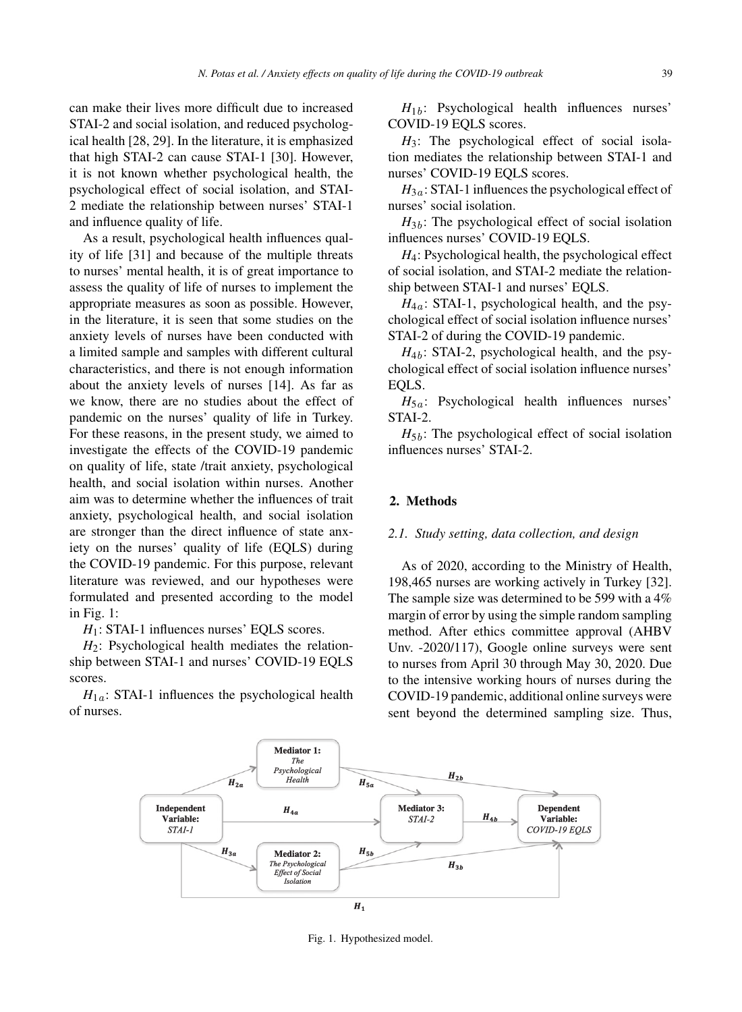can make their lives more difficult due to increased STAI-2 and social isolation, and reduced psychological health [28, 29]. In the literature, it is emphasized that high STAI-2 can cause STAI-1 [30]. However, it is not known whether psychological health, the psychological effect of social isolation, and STAI-2 mediate the relationship between nurses' STAI-1 and influence quality of life.

As a result, psychological health influences quality of life [31] and because of the multiple threats to nurses' mental health, it is of great importance to assess the quality of life of nurses to implement the appropriate measures as soon as possible. However, in the literature, it is seen that some studies on the anxiety levels of nurses have been conducted with a limited sample and samples with different cultural characteristics, and there is not enough information about the anxiety levels of nurses [14]. As far as we know, there are no studies about the effect of pandemic on the nurses' quality of life in Turkey. For these reasons, in the present study, we aimed to investigate the effects of the COVID-19 pandemic on quality of life, state /trait anxiety, psychological health, and social isolation within nurses. Another aim was to determine whether the influences of trait anxiety, psychological health, and social isolation are stronger than the direct influence of state anxiety on the nurses' quality of life (EQLS) during the COVID-19 pandemic. For this purpose, relevant literature was reviewed, and our hypotheses were formulated and presented according to the model in Fig. 1:

*H*<sub>1</sub>: STAI-1 influences nurses' EQLS scores.

*H*2: Psychological health mediates the relationship between STAI-1 and nurses' COVID-19 EQLS scores.

 $H_{1a}$ : STAI-1 influences the psychological health of nurses.

 $H_{1b}$ : Psychological health influences nurses' COVID-19 EQLS scores.

*H*3: The psychological effect of social isolation mediates the relationship between STAI-1 and nurses' COVID-19 EQLS scores.

 $H_{3a}$ : STAI-1 influences the psychological effect of nurses' social isolation.

 $H_{3b}$ : The psychological effect of social isolation influences nurses' COVID-19 EQLS.

*H*4: Psychological health, the psychological effect of social isolation, and STAI-2 mediate the relationship between STAI-1 and nurses' EQLS.

 $H_{4a}$ : STAI-1, psychological health, and the psychological effect of social isolation influence nurses' STAI-2 of during the COVID-19 pandemic.

 $H_{4h}$ : STAI-2, psychological health, and the psychological effect of social isolation influence nurses' EQLS.

 $H_{5a}$ : Psychological health influences nurses' STAI-2.

 $H_{5b}$ : The psychological effect of social isolation influences nurses' STAI-2.

## **2. Methods**

# *2.1. Study setting, data collection, and design*

As of 2020, according to the Ministry of Health, 198,465 nurses are working actively in Turkey [32]. The sample size was determined to be 599 with a 4% margin of error by using the simple random sampling method. After ethics committee approval (AHBV Unv. -2020/117), Google online surveys were sent to nurses from April 30 through May 30, 2020. Due to the intensive working hours of nurses during the COVID-19 pandemic, additional online surveys were sent beyond the determined sampling size. Thus,



Fig. 1. Hypothesized model.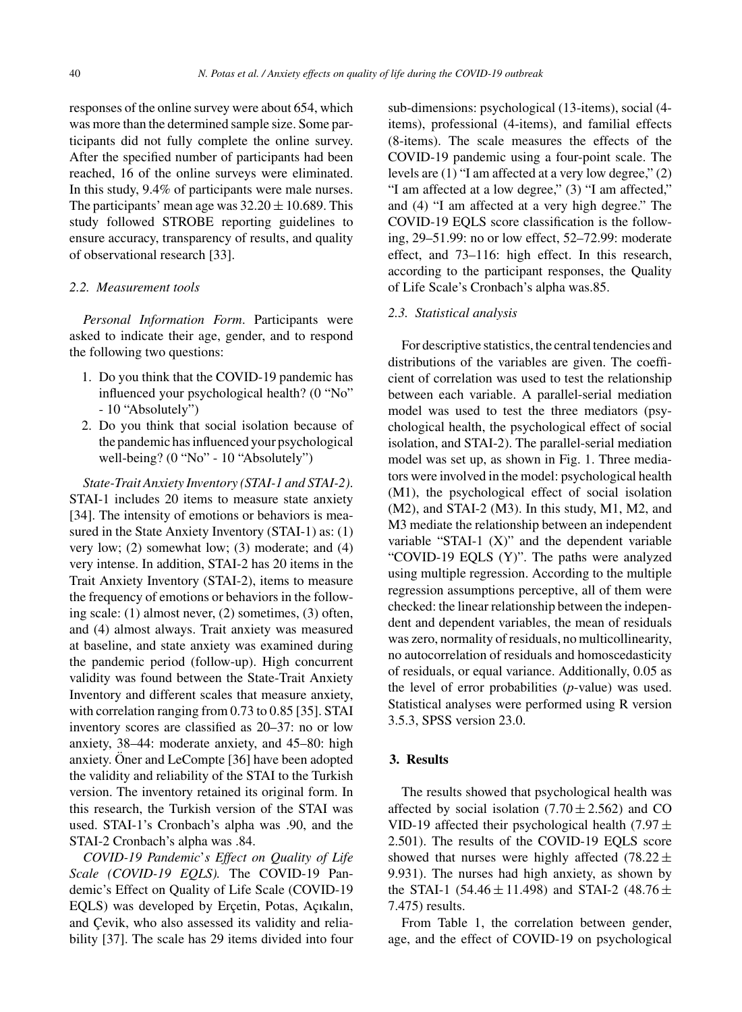responses of the online survey were about 654, which was more than the determined sample size. Some participants did not fully complete the online survey. After the specified number of participants had been reached, 16 of the online surveys were eliminated. In this study, 9.4% of participants were male nurses. The participants' mean age was  $32.20 \pm 10.689$ . This study followed STROBE reporting guidelines to ensure accuracy, transparency of results, and quality of observational research [33].

## *2.2. Measurement tools*

*Personal Information Form*. Participants were asked to indicate their age, gender, and to respond the following two questions:

- 1. Do you think that the COVID-19 pandemic has influenced your psychological health? (0 "No" - 10 "Absolutely")
- 2. Do you think that social isolation because of the pandemic has influenced your psychological well-being? (0 "No" - 10 "Absolutely")

*State-Trait Anxiety Inventory (STAI-1 and STAI-2)*. STAI-1 includes 20 items to measure state anxiety [34]. The intensity of emotions or behaviors is measured in the State Anxiety Inventory (STAI-1) as: (1) very low; (2) somewhat low; (3) moderate; and (4) very intense. In addition, STAI-2 has 20 items in the Trait Anxiety Inventory (STAI-2), items to measure the frequency of emotions or behaviors in the following scale: (1) almost never, (2) sometimes, (3) often, and (4) almost always. Trait anxiety was measured at baseline, and state anxiety was examined during the pandemic period (follow-up). High concurrent validity was found between the State-Trait Anxiety Inventory and different scales that measure anxiety, with correlation ranging from 0.73 to 0.85 [35]. STAI inventory scores are classified as 20–37: no or low anxiety, 38–44: moderate anxiety, and 45–80: high anxiety. Oner and LeCompte  $[36]$  have been adopted the validity and reliability of the STAI to the Turkish version. The inventory retained its original form. In this research, the Turkish version of the STAI was used. STAI-1's Cronbach's alpha was .90, and the STAI-2 Cronbach's alpha was .84.

*COVID-19 Pandemic*'*s Effect on Quality of Life Scale (COVID-19 EQLS).* The COVID-19 Pandemic's Effect on Quality of Life Scale (COVID-19 EQLS) was developed by Erçetin, Potas, Açıkalın, and Çevik, who also assessed its validity and reliability [37]. The scale has 29 items divided into four

sub-dimensions: psychological (13-items), social (4 items), professional (4-items), and familial effects (8-items). The scale measures the effects of the COVID-19 pandemic using a four-point scale. The levels are (1) "I am affected at a very low degree," (2) "I am affected at a low degree," (3) "I am affected," and (4) "I am affected at a very high degree." The COVID-19 EQLS score classification is the following, 29–51.99: no or low effect, 52–72.99: moderate effect, and 73–116: high effect. In this research, according to the participant responses, the Quality of Life Scale's Cronbach's alpha was.85.

#### *2.3. Statistical analysis*

For descriptive statistics, the central tendencies and distributions of the variables are given. The coefficient of correlation was used to test the relationship between each variable. A parallel-serial mediation model was used to test the three mediators (psychological health, the psychological effect of social isolation, and STAI-2). The parallel-serial mediation model was set up, as shown in Fig. 1. Three mediators were involved in the model: psychological health (M1), the psychological effect of social isolation (M2), and STAI-2 (M3). In this study, M1, M2, and M3 mediate the relationship between an independent variable "STAI-1  $(X)$ " and the dependent variable "COVID-19 EQLS (Y)". The paths were analyzed using multiple regression. According to the multiple regression assumptions perceptive, all of them were checked: the linear relationship between the independent and dependent variables, the mean of residuals was zero, normality of residuals, no multicollinearity, no autocorrelation of residuals and homoscedasticity of residuals, or equal variance. Additionally, 0.05 as the level of error probabilities (*p*-value) was used. Statistical analyses were performed using R version 3.5.3, SPSS version 23.0.

## **3. Results**

The results showed that psychological health was affected by social isolation  $(7.70 \pm 2.562)$  and CO VID-19 affected their psychological health (7.97  $\pm$ 2.501). The results of the COVID-19 EQLS score showed that nurses were highly affected (78.22  $\pm$ 9.931). The nurses had high anxiety, as shown by the STAI-1 (54.46  $\pm$  11.498) and STAI-2 (48.76  $\pm$ 7.475) results.

From Table 1, the correlation between gender, age, and the effect of COVID-19 on psychological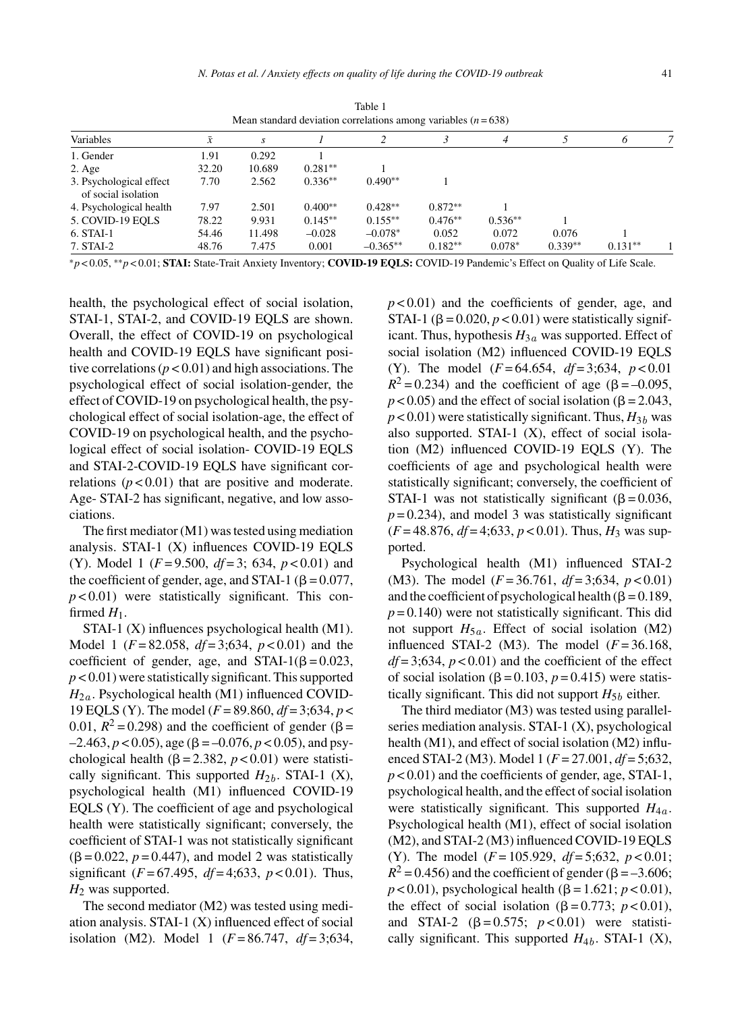|                                                |           |               |           | $mca$ standard deviation correlations among variables $(n - 0.00)$ |           |           |           |           |  |
|------------------------------------------------|-----------|---------------|-----------|--------------------------------------------------------------------|-----------|-----------|-----------|-----------|--|
| Variables                                      | $\bar{x}$ | $\mathcal{S}$ |           |                                                                    |           | 4         |           | 6         |  |
| 1. Gender                                      | 1.91      | 0.292         |           |                                                                    |           |           |           |           |  |
| $2. \text{Age}$                                | 32.20     | 10.689        | $0.281**$ |                                                                    |           |           |           |           |  |
| 3. Psychological effect<br>of social isolation | 7.70      | 2.562         | $0.336**$ | $0.490**$                                                          |           |           |           |           |  |
| 4. Psychological health                        | 7.97      | 2.501         | $0.400**$ | $0.428**$                                                          | $0.872**$ |           |           |           |  |
| 5. COVID-19 EOLS                               | 78.22     | 9.931         | $0.145**$ | $0.155**$                                                          | $0.476**$ | $0.536**$ |           |           |  |
| 6. STAI-1                                      | 54.46     | 11.498        | $-0.028$  | $-0.078*$                                                          | 0.052     | 0.072     | 0.076     |           |  |
| 7. STAI-2                                      | 48.76     | 7.475         | 0.001     | $-0.365**$                                                         | $0.182**$ | $0.078*$  | $0.339**$ | $0.131**$ |  |

Table 1 Mean standard deviation correlations among variables (*n* = 638)

∗*p* < 0.05, ∗∗*p* < 0.01; **STAI:** State-Trait Anxiety Inventory; **COVID-19 EQLS:** COVID-19 Pandemic's Effect on Quality of Life Scale.

health, the psychological effect of social isolation, STAI-1, STAI-2, and COVID-19 EQLS are shown. Overall, the effect of COVID-19 on psychological health and COVID-19 EQLS have significant positive correlations  $(p < 0.01)$  and high associations. The psychological effect of social isolation-gender, the effect of COVID-19 on psychological health, the psychological effect of social isolation-age, the effect of COVID-19 on psychological health, and the psychological effect of social isolation- COVID-19 EQLS and STAI-2-COVID-19 EQLS have significant correlations  $(p < 0.01)$  that are positive and moderate. Age- STAI-2 has significant, negative, and low associations.

The first mediator (M1) was tested using mediation analysis. STAI-1 (X) influences COVID-19 EQLS (Y). Model 1 (*F* = 9.500, *df* = 3; 634, *p* < 0.01) and the coefficient of gender, age, and STAI-1 ( $\beta$  = 0.077,  $p < 0.01$ ) were statistically significant. This confirmed  $H_1$ .

STAI-1 (X) influences psychological health (M1). Model 1 (*F* = 82.058, *df* = 3;634, *p* < 0.01) and the coefficient of gender, age, and STAI-1( $\beta$  = 0.023, *p* < 0.01) were statistically significant. This supported  $H_{2a}$ . Psychological health (M1) influenced COVID-19 EQLS (Y). The model (*F* = 89.860, *df* = 3;634, *p* < 0.01,  $R^2 = 0.298$ ) and the coefficient of gender ( $\beta =$  $-2.463, p < 0.05$ ), age ( $\beta = -0.076, p < 0.05$ ), and psychological health ( $\beta$  = 2.382,  $p$  < 0.01) were statistically significant. This supported  $H_{2b}$ . STAI-1 (X), psychological health (M1) influenced COVID-19 EQLS (Y). The coefficient of age and psychological health were statistically significant; conversely, the coefficient of STAI-1 was not statistically significant  $(\beta = 0.022, p = 0.447)$ , and model 2 was statistically significant (*F* = 67.495, *df* = 4;633, *p* < 0.01). Thus, *H*<sup>2</sup> was supported.

The second mediator (M2) was tested using mediation analysis. STAI-1 (X) influenced effect of social isolation (M2). Model 1 (*F* = 86.747, *df* = 3;634, *p* < 0.01) and the coefficients of gender, age, and STAI-1 ( $\beta$  = 0.020,  $p$  < 0.01) were statistically significant. Thus, hypothesis  $H_{3a}$  was supported. Effect of social isolation (M2) influenced COVID-19 EQLS (Y). The model (*F* = 64.654, *df* = 3;634, *p* < 0.01  $R^2 = 0.234$ ) and the coefficient of age ( $\beta = -0.095$ ,  $p < 0.05$ ) and the effect of social isolation ( $\beta = 2.043$ ,  $p$  < 0.01) were statistically significant. Thus,  $H_{3b}$  was also supported. STAI-1 (X), effect of social isolation (M2) influenced COVID-19 EQLS (Y). The coefficients of age and psychological health were statistically significant; conversely, the coefficient of STAI-1 was not statistically significant ( $\beta$  = 0.036,  $p = 0.234$ , and model 3 was statistically significant  $(F = 48.876, df = 4; 633, p < 0.01)$ . Thus,  $H_3$  was supported.

Psychological health (M1) influenced STAI-2 (M3). The model (*F* = 36.761, *df* = 3;634, *p* < 0.01) and the coefficient of psychological health ( $\beta = 0.189$ ,  $p = 0.140$ ) were not statistically significant. This did not support  $H_{5a}$ . Effect of social isolation (M2) influenced STAI-2 (M3). The model  $(F=36.168,$  $df = 3.634$ ,  $p < 0.01$ ) and the coefficient of the effect of social isolation ( $\beta$  = 0.103,  $p$  = 0.415) were statistically significant. This did not support  $H_{5b}$  either.

The third mediator (M3) was tested using parallelseries mediation analysis. STAI-1 (X), psychological health (M1), and effect of social isolation (M2) influenced STAI-2 (M3). Model 1 (*F* = 27.001, *df* = 5;632, *p* < 0.01) and the coefficients of gender, age, STAI-1, psychological health, and the effect of social isolation were statistically significant. This supported  $H_{4a}$ . Psychological health (M1), effect of social isolation (M2), and STAI-2 (M3) influenced COVID-19 EQLS (Y). The model (*F* = 105.929, *df* = 5;632, *p* < 0.01;  $R^2$  = 0.456) and the coefficient of gender ( $\beta$  = -3.606;  $p < 0.01$ ), psychological health ( $\beta = 1.621$ ;  $p < 0.01$ ), the effect of social isolation ( $\beta = 0.773$ ;  $p < 0.01$ ), and STAI-2  $(\beta = 0.575; p < 0.01)$  were statistically significant. This supported  $H_{4b}$ . STAI-1 (X),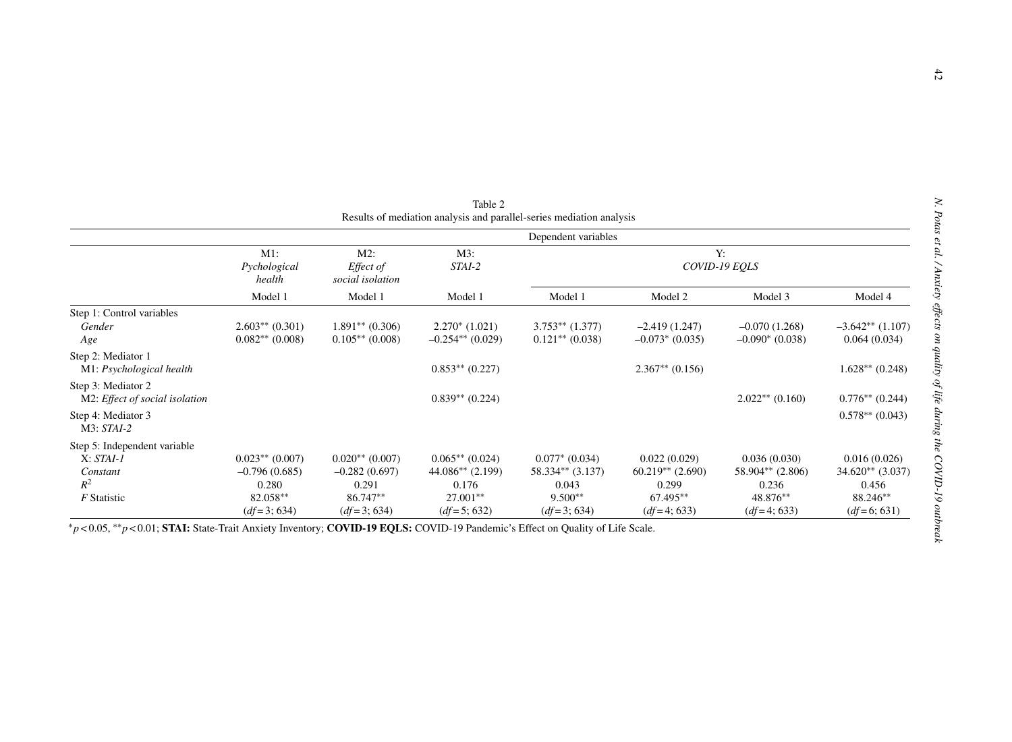|                                                                                 | Dependent variables                                                        |                                                                            |                                                                               |                                                                               |                                                                          |                                                                        |                                                                          |  |  |  |  |
|---------------------------------------------------------------------------------|----------------------------------------------------------------------------|----------------------------------------------------------------------------|-------------------------------------------------------------------------------|-------------------------------------------------------------------------------|--------------------------------------------------------------------------|------------------------------------------------------------------------|--------------------------------------------------------------------------|--|--|--|--|
|                                                                                 | $M1$ :<br>Pychological<br>health                                           | $M2$ :<br>Effect of<br>social isolation                                    | $M3$ :<br>STAI-2                                                              | Y:<br>COVID-19 EQLS                                                           |                                                                          |                                                                        |                                                                          |  |  |  |  |
|                                                                                 | Model 1                                                                    | Model 1                                                                    | Model 1                                                                       | Model 1                                                                       | Model 2                                                                  | Model 3                                                                | Model 4                                                                  |  |  |  |  |
| Step 1: Control variables<br>Gender<br>Age                                      | $2.603**$ (0.301)<br>$0.082**$ (0.008)                                     | $1.891**$ (0.306)<br>$0.105**$ (0.008)                                     | $2.270*(1.021)$<br>$-0.254**$ (0.029)                                         | $3.753**$ $(1.377)$<br>$0.121**$ (0.038)                                      | $-2.419(1.247)$<br>$-0.073*(0.035)$                                      | $-0.070(1.268)$<br>$-0.090*(0.038)$                                    | $-3.642**$ (1.107)<br>0.064(0.034)                                       |  |  |  |  |
| Step 2: Mediator 1<br>M1: Psychological health                                  |                                                                            |                                                                            | $0.853**$ (0.227)                                                             |                                                                               | $2.367**$ (0.156)                                                        |                                                                        | $1.628**$ (0.248)                                                        |  |  |  |  |
| Step 3: Mediator 2<br>M2: Effect of social isolation                            |                                                                            |                                                                            | $0.839**$ (0.224)                                                             |                                                                               |                                                                          | $2.022**$ (0.160)                                                      | $0.776**$ (0.244)                                                        |  |  |  |  |
| Step 4: Mediator 3<br>$M3: STAI-2$                                              |                                                                            |                                                                            |                                                                               |                                                                               |                                                                          |                                                                        | $0.578**$ (0.043)                                                        |  |  |  |  |
| Step 5: Independent variable<br>$X: STAI-1$<br>Constant<br>$R^2$<br>F Statistic | $0.023**$ (0.007)<br>$-0.796(0.685)$<br>0.280<br>82.058**<br>$(df=3; 634)$ | $0.020**$ (0.007)<br>$-0.282(0.697)$<br>0.291<br>86.747**<br>$(df=3; 634)$ | $0.065**$ (0.024)<br>$44.086**$ (2.199)<br>0.176<br>27.001**<br>$(df=5; 632)$ | $0.077*$ (0.034)<br>$58.334**$ (3.137)<br>0.043<br>$9.500**$<br>$(df=3; 634)$ | 0.022(0.029)<br>$60.219**$ (2.690)<br>0.299<br>67.495**<br>$(df=4; 633)$ | 0.036(0.030)<br>58.904** (2.806)<br>0.236<br>48.876**<br>$(df=4; 633)$ | 0.016(0.026)<br>$34.620**$ (3.037)<br>0.456<br>88.246**<br>$(df=6; 631)$ |  |  |  |  |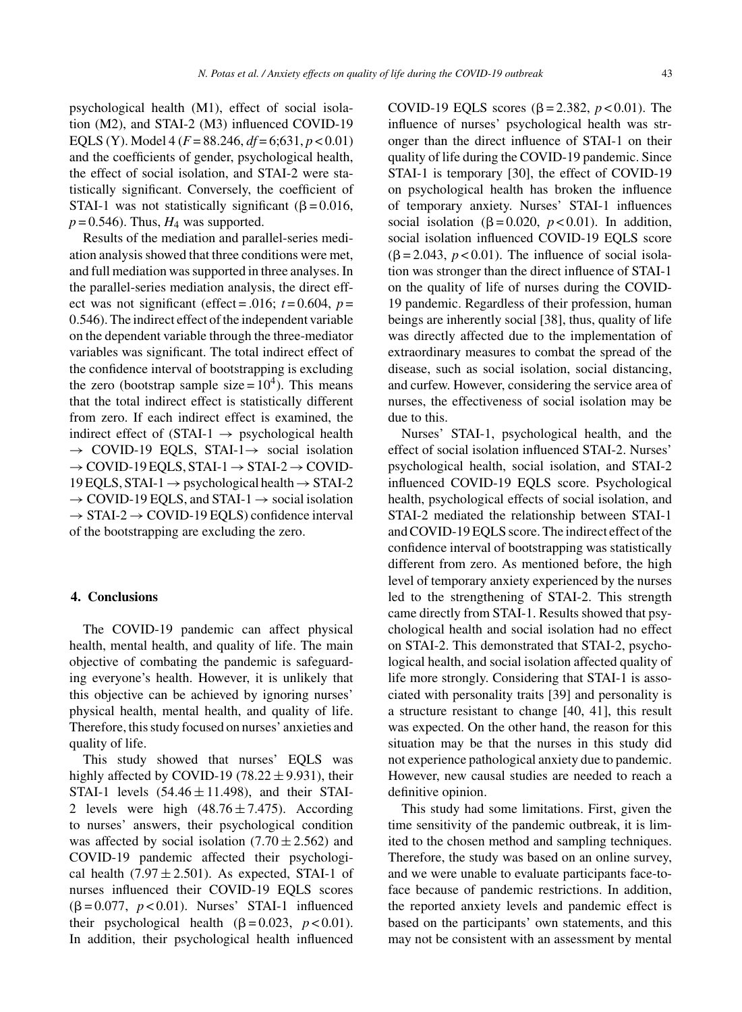psychological health (M1), effect of social isolation (M2), and STAI-2 (M3) influenced COVID-19 EQLS (Y). Model 4 (*F* = 88.246, *df* = 6;631, *p* < 0.01) and the coefficients of gender, psychological health, the effect of social isolation, and STAI-2 were statistically significant. Conversely, the coefficient of STAI-1 was not statistically significant ( $\beta$  = 0.016,  $p = 0.546$ . Thus,  $H_4$  was supported.

Results of the mediation and parallel-series mediation analysis showed that three conditions were met, and full mediation was supported in three analyses. In the parallel-series mediation analysis, the direct effect was not significant (effect = .016;  $t = 0.604$ ,  $p =$ 0.546). The indirect effect of the independent variable on the dependent variable through the three-mediator variables was significant. The total indirect effect of the confidence interval of bootstrapping is excluding the zero (bootstrap sample size =  $10<sup>4</sup>$ ). This means that the total indirect effect is statistically different from zero. If each indirect effect is examined, the indirect effect of (STAI-1  $\rightarrow$  psychological health  $\rightarrow$  COVID-19 EQLS, STAI-1 $\rightarrow$  social isolation  $\rightarrow$  COVID-19 EQLS, STAI-1  $\rightarrow$  STAI-2  $\rightarrow$  COVID- $19$  EQLS, STAI-1  $\rightarrow$  psychological health  $\rightarrow$  STAI-2  $\rightarrow$  COVID-19 EOLS, and STAI-1  $\rightarrow$  social isolation  $\rightarrow$  STAI-2  $\rightarrow$  COVID-19 EQLS) confidence interval of the bootstrapping are excluding the zero.

### **4. Conclusions**

The COVID-19 pandemic can affect physical health, mental health, and quality of life. The main objective of combating the pandemic is safeguarding everyone's health. However, it is unlikely that this objective can be achieved by ignoring nurses' physical health, mental health, and quality of life. Therefore, this study focused on nurses' anxieties and quality of life.

This study showed that nurses' EQLS was highly affected by COVID-19 (78.22  $\pm$  9.931), their STAI-1 levels  $(54.46 \pm 11.498)$ , and their STAI-2 levels were high  $(48.76 \pm 7.475)$ . According to nurses' answers, their psychological condition was affected by social isolation  $(7.70 \pm 2.562)$  and COVID-19 pandemic affected their psychological health  $(7.97 \pm 2.501)$ . As expected, STAI-1 of nurses influenced their COVID-19 EQLS scores  $(\beta = 0.077, p < 0.01)$ . Nurses' STAI-1 influenced their psychological health  $(\beta = 0.023, p < 0.01)$ . In addition, their psychological health influenced

COVID-19 EQLS scores ( $\beta$  = 2.382, *p* < 0.01). The influence of nurses' psychological health was stronger than the direct influence of STAI-1 on their quality of life during the COVID-19 pandemic. Since STAI-1 is temporary [30], the effect of COVID-19 on psychological health has broken the influence of temporary anxiety. Nurses' STAI-1 influences social isolation ( $\beta$ =0.020,  $p$ <0.01). In addition, social isolation influenced COVID-19 EQLS score  $(\beta = 2.043, p < 0.01)$ . The influence of social isolation was stronger than the direct influence of STAI-1 on the quality of life of nurses during the COVID-19 pandemic. Regardless of their profession, human beings are inherently social [38], thus, quality of life was directly affected due to the implementation of extraordinary measures to combat the spread of the disease, such as social isolation, social distancing, and curfew. However, considering the service area of nurses, the effectiveness of social isolation may be due to this.

Nurses' STAI-1, psychological health, and the effect of social isolation influenced STAI-2. Nurses' psychological health, social isolation, and STAI-2 influenced COVID-19 EQLS score. Psychological health, psychological effects of social isolation, and STAI-2 mediated the relationship between STAI-1 and COVID-19 EQLS score. The indirect effect of the confidence interval of bootstrapping was statistically different from zero. As mentioned before, the high level of temporary anxiety experienced by the nurses led to the strengthening of STAI-2. This strength came directly from STAI-1. Results showed that psychological health and social isolation had no effect on STAI-2. This demonstrated that STAI-2, psychological health, and social isolation affected quality of life more strongly. Considering that STAI-1 is associated with personality traits [39] and personality is a structure resistant to change [40, 41], this result was expected. On the other hand, the reason for this situation may be that the nurses in this study did not experience pathological anxiety due to pandemic. However, new causal studies are needed to reach a definitive opinion.

This study had some limitations. First, given the time sensitivity of the pandemic outbreak, it is limited to the chosen method and sampling techniques. Therefore, the study was based on an online survey, and we were unable to evaluate participants face-toface because of pandemic restrictions. In addition, the reported anxiety levels and pandemic effect is based on the participants' own statements, and this may not be consistent with an assessment by mental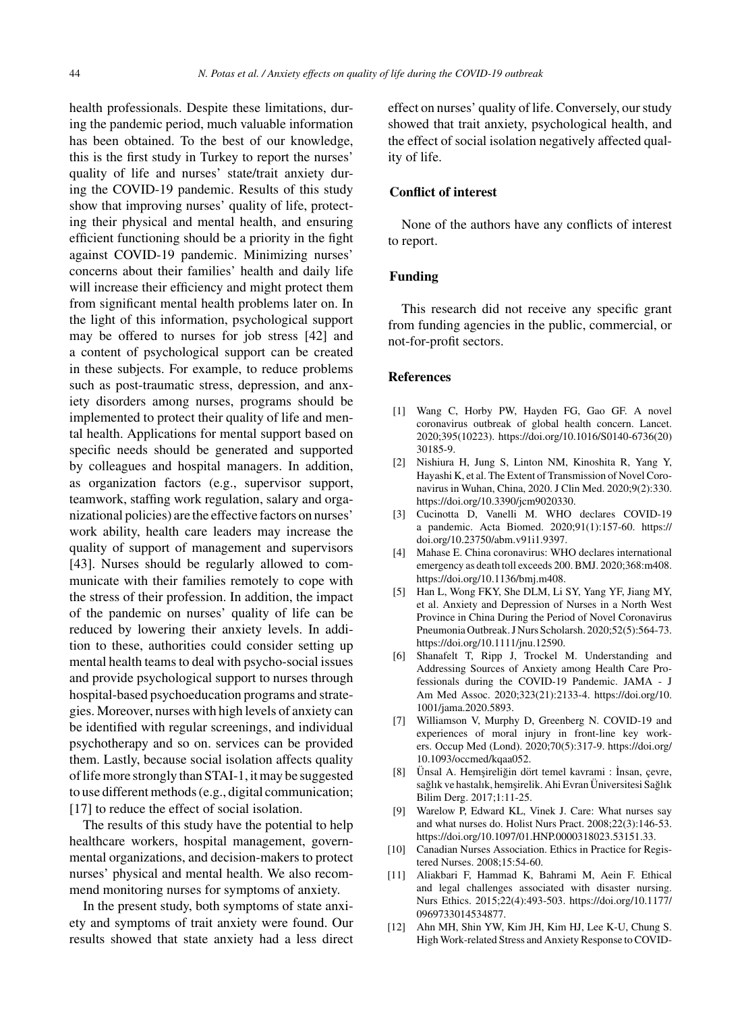health professionals. Despite these limitations, during the pandemic period, much valuable information has been obtained. To the best of our knowledge, this is the first study in Turkey to report the nurses' quality of life and nurses' state/trait anxiety during the COVID-19 pandemic. Results of this study show that improving nurses' quality of life, protecting their physical and mental health, and ensuring efficient functioning should be a priority in the fight against COVID-19 pandemic. Minimizing nurses' concerns about their families' health and daily life will increase their efficiency and might protect them from significant mental health problems later on. In the light of this information, psychological support may be offered to nurses for job stress [42] and a content of psychological support can be created in these subjects. For example, to reduce problems such as post-traumatic stress, depression, and anxiety disorders among nurses, programs should be implemented to protect their quality of life and mental health. Applications for mental support based on specific needs should be generated and supported by colleagues and hospital managers. In addition, as organization factors (e.g., supervisor support, teamwork, staffing work regulation, salary and organizational policies) are the effective factors on nurses' work ability, health care leaders may increase the quality of support of management and supervisors [43]. Nurses should be regularly allowed to communicate with their families remotely to cope with the stress of their profession. In addition, the impact of the pandemic on nurses' quality of life can be reduced by lowering their anxiety levels. In addition to these, authorities could consider setting up mental health teams to deal with psycho-social issues and provide psychological support to nurses through hospital-based psychoeducation programs and strategies. Moreover, nurses with high levels of anxiety can be identified with regular screenings, and individual psychotherapy and so on. services can be provided them. Lastly, because social isolation affects quality of life more strongly than STAI-1, it may be suggested to use different methods (e.g., digital communication; [17] to reduce the effect of social isolation.

The results of this study have the potential to help healthcare workers, hospital management, governmental organizations, and decision-makers to protect nurses' physical and mental health. We also recommend monitoring nurses for symptoms of anxiety.

In the present study, both symptoms of state anxiety and symptoms of trait anxiety were found. Our results showed that state anxiety had a less direct effect on nurses' quality of life. Conversely, our study showed that trait anxiety, psychological health, and the effect of social isolation negatively affected quality of life.

## **Conflict of interest**

None of the authors have any conflicts of interest to report.

## **Funding**

This research did not receive any specific grant from funding agencies in the public, commercial, or not-for-profit sectors.

#### **References**

- [1] Wang C, Horby PW, Hayden FG, Gao GF. A novel coronavirus outbreak of global health concern. Lancet. 2020;395(10223). [https://doi.org/10.1016/S0140-6736\(20\)](https://doi.org/10.1016/S0140-6736(20)30185-9) 30185-9.
- [2] Nishiura H, Jung S, Linton NM, Kinoshita R, Yang Y, Hayashi K, et al. The Extent of Transmission of Novel Coronavirus in Wuhan, China, 2020. J Clin Med. 2020;9(2):330. [https://doi.org/10.3390/jcm9020330.](https://doi.org/10.3390/jcm9020330)
- [3] Cucinotta D, Vanelli M. WHO declares COVID-19 a pandemic. Acta Biomed. 2020;91(1):157-60. [https://](https://doi.org/10.23750/abm.v91i1.9397) doi.org/10.23750/abm.v91i1.9397.
- [4] Mahase E. China coronavirus: WHO declares international emergency as death toll exceeds 200. BMJ. 2020;368:m408. [https://doi.org/10.1136/bmj.m408.](https://doi.org/10.1136/bmj.m408)
- [5] Han L, Wong FKY, She DLM, Li SY, Yang YF, Jiang MY, et al. Anxiety and Depression of Nurses in a North West Province in China During the Period of Novel Coronavirus Pneumonia Outbreak. J Nurs Scholarsh. 2020;52(5):564-73. <https://doi.org/10.1111/jnu.12590>.
- [6] Shanafelt T, Ripp J, Trockel M. Understanding and Addressing Sources of Anxiety among Health Care Professionals during the COVID-19 Pandemic. JAMA - J Am Med Assoc. 2020;323(21):2133-4. [https://doi.org/10.](https://doi.org/10.1001/jama.2020.5893) 1001/jama.2020.5893.
- [7] Williamson V, Murphy D, Greenberg N. COVID-19 and experiences of moral injury in front-line key workers. Occup Med (Lond). 2020;70(5):317-9. [https://doi.org/](https://doi.org/10.1093/occmed/kqaa052) 10.1093/occmed/kqaa052.
- [8] Unsal A. Hemşireliğin dört temel kavrami : İnsan, çevre, sağlık ve hastalık, hemsirelik. Ahi Evran Üniversitesi Sağlık Bilim Derg. 2017;1:11-25.
- [9] Warelow P, Edward KL, Vinek J. Care: What nurses say and what nurses do. Holist Nurs Pract. 2008;22(3):146-53. [https://doi.org/10.1097/01.HNP.0000318023.53151.33.](https://doi.org/10.1097/01.HNP.0000318023.53151.33)
- [10] Canadian Nurses Association. Ethics in Practice for Registered Nurses. 2008;15:54-60.
- [11] Aliakbari F, Hammad K, Bahrami M, Aein F. Ethical and legal challenges associated with disaster nursing. Nurs Ethics. 2015;22(4):493-503. [https://doi.org/10.1177/](https://doi.org/10.1177/0969733014534877) 0969733014534877.
- [12] Ahn MH, Shin YW, Kim JH, Kim HJ, Lee K-U, Chung S. High Work-related Stress and Anxiety Response to COVID-